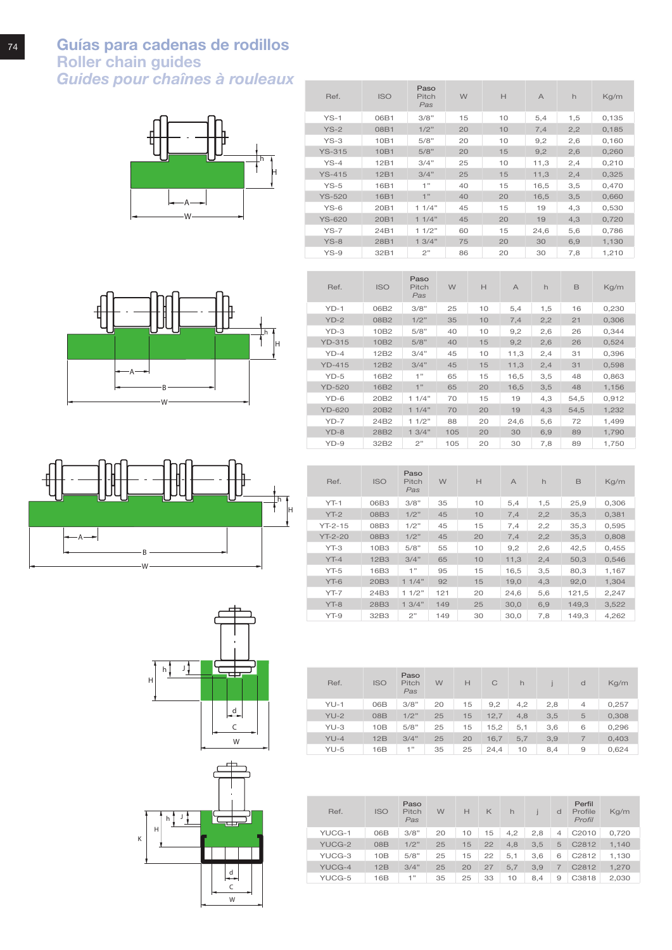











| Ref.          | <b>ISO</b>       | Paso<br>Pitch<br>Pas | W   | H  | $\overline{A}$ | h   | B    | Kg/m  |
|---------------|------------------|----------------------|-----|----|----------------|-----|------|-------|
| $YD-1$        | 06B2             | 3/8"                 | 25  | 10 | 5,4            | 1,5 | 16   | 0,230 |
| $YD-2$        | 08B2             | 1/2"                 | 35  | 10 | 7,4            | 2,2 | 21   | 0,306 |
| $YD-3$        | 10B2             | 5/8"                 | 40  | 10 | 9,2            | 2,6 | 26   | 0,344 |
| <b>YD-315</b> | 10 <sub>B2</sub> | 5/8"                 | 40  | 15 | 9,2            | 2,6 | 26   | 0,524 |
| $YD-4$        | 12B2             | 3/4"                 | 45  | 10 | 11,3           | 2,4 | 31   | 0,396 |
| $YD-415$      | 12B <sub>2</sub> | 3/4"                 | 45  | 15 | 11,3           | 2,4 | 31   | 0,598 |
| $YD-5$        | 16B2             | 1"                   | 65  | 15 | 16,5           | 3,5 | 48   | 0,863 |
| <b>YD-520</b> | 16B <sub>2</sub> | 1"                   | 65  | 20 | 16,5           | 3,5 | 48   | 1,156 |
| $YD-6$        | 20B2             | 11/4"                | 70  | 15 | 19             | 4,3 | 54.5 | 0.912 |
| <b>YD-620</b> | 20B2             | 11/4"                | 70  | 20 | 19             | 4,3 | 54,5 | 1,232 |
| $YD-7$        | 24B2             | 11/2"                | 88  | 20 | 24,6           | 5,6 | 72   | 1,499 |
| $YD-8$        | 28B2             | 13/4"                | 105 | 20 | 30             | 6,9 | 89   | 1,790 |
| $YD-9$        | 32B2             | 2"                   | 105 | 20 | 30             | 7,8 | 89   | 1,750 |

| Ref.      | <b>ISO</b> | Paso<br>Pitch<br>Pas | W   | H  | $\overline{A}$ | h   | B     | Kg/m  |
|-----------|------------|----------------------|-----|----|----------------|-----|-------|-------|
| $YT-1$    | 06B3       | 3/8"                 | 35  | 10 | 5,4            | 1,5 | 25,9  | 0,306 |
| $YT-2$    | 08B3       | 1/2"                 | 45  | 10 | 7,4            | 2,2 | 35,3  | 0,381 |
| $YT-2-15$ | 08B3       | 1/2"                 | 45  | 15 | 7,4            | 2,2 | 35,3  | 0,595 |
| $YT-2-20$ | 08B3       | 1/2"                 | 45  | 20 | 7.4            | 2,2 | 35.3  | 0.808 |
| $YT-3$    | 10B3       | 5/8"                 | 55  | 10 | 9,2            | 2,6 | 42,5  | 0.455 |
| $YT-4$    | 12B3       | 3/4"                 | 65  | 10 | 11,3           | 2,4 | 50.3  | 0.546 |
| $YT-5$    | 16B3       | 1"                   | 95  | 15 | 16,5           | 3,5 | 80,3  | 1,167 |
| $YT-6$    | 20B3       | 11/4"                | 92  | 15 | 19,0           | 4,3 | 92,0  | 1,304 |
| $YT - 7$  | 24B3       | 11/2"                | 121 | 20 | 24,6           | 5,6 | 121,5 | 2,247 |
| $YT-8$    | 28B3       | 13/4"                | 149 | 25 | 30,0           | 6,9 | 149,3 | 3,522 |
| $YT-9$    | 32B3       | 2"                   | 149 | 30 | 30,0           | 7,8 | 149.3 | 4.262 |

| Ref.   | <b>ISO</b>      | Paso<br>Pitch<br>Pas | W  | H  | C    | h   |     | d              | Kq/m  |
|--------|-----------------|----------------------|----|----|------|-----|-----|----------------|-------|
| $YU-1$ | 06B             | 3/8"                 | 20 | 15 | 9,2  | 4,2 | 2,8 | $\overline{4}$ | 0,257 |
| $YU-2$ | 08 <sub>B</sub> | 1/2"                 | 25 | 15 | 12,7 | 4,8 | 3,5 | 5              | 0,308 |
| $YU-3$ | 10B             | 5/8"                 | 25 | 15 | 15,2 | 5,1 | 3,6 | 6              | 0,296 |
| $YU-4$ | 12B             | 3/4"                 | 25 | 20 | 16,7 | 5,7 | 3,9 | 7              | 0,403 |
| $YU-5$ | 16B             | 1"                   | 35 | 25 | 24,4 | 10  | 8,4 | 9              | 0,624 |

| Ref.   | <b>ISO</b>      | Paso<br>Pitch<br>Pas | W  | н  | K  | h   |     | d              | Perfil<br>Profile<br>Profil | Kg/m  |
|--------|-----------------|----------------------|----|----|----|-----|-----|----------------|-----------------------------|-------|
| YUCG-1 | 06B             | 3/8"                 | 20 | 10 | 15 | 4.2 | 2,8 | $\overline{4}$ | C2010                       | 0,720 |
| YUCG-2 | 08 <sub>B</sub> | 1/2"                 | 25 | 15 | 22 | 4.8 | 3.5 | 5              | C2812                       | 1.140 |
| YUCG-3 | 10B             | 5/8"                 | 25 | 15 | 22 | 5,1 | 3,6 | 6              | C2812                       | 1,130 |
| YUCG-4 | 12B             | 3/4"                 | 25 | 20 | 27 | 5.7 | 3.9 |                | C2812                       | 1,270 |
| YUCG-5 | 16 <sub>B</sub> | 1"                   | 35 | 25 | 33 | 10  | 8.4 | 9              | C3818                       | 2,030 |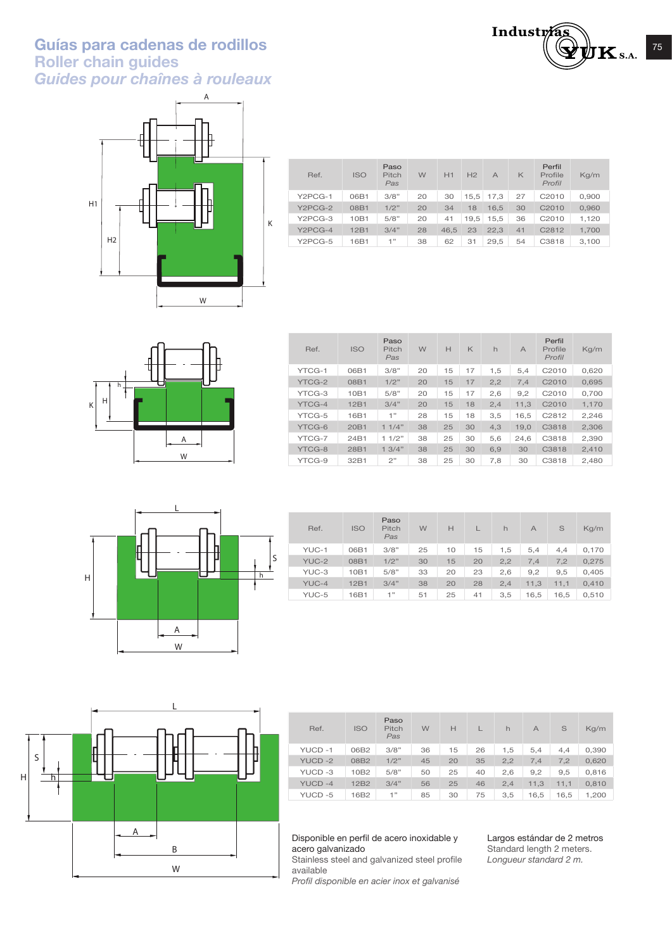# **Guías para cadenas de rodillos** <sup>75</sup> **Roller chain guides**  *Guides pour chaînes à rouleaux*



| Ref.                 | <b>ISO</b> | Paso<br>Pitch<br>Pas | W  | H1   | H <sub>2</sub> | $\overline{A}$ | $\mathsf{K}$ | Perfil<br>Profile<br>Profil | Kg/m  |
|----------------------|------------|----------------------|----|------|----------------|----------------|--------------|-----------------------------|-------|
| Y2PCG-1              | 06B1       | 3/8"                 | 20 | 30   | 15.5           | 17.3           | 27           | C2010                       | 0,900 |
| Y <sub>2</sub> PCG-2 | 08B1       | 1/2"                 | 20 | 34   | 18             | 16.5           | 30           | C2010                       | 0,960 |
| Y2PCG-3              | 10B1       | 5/8"                 | 20 | 41   | 19.5           | 15,5           | 36           | C2010                       | 1,120 |
| Y2PCG-4              | 12B1       | 3/4"                 | 28 | 46.5 | 23             | 22.3           | 41           | C2812                       | 1,700 |
| Y2PCG-5              | 16B1       | 1"                   | 38 | 62   | 31             | 29,5           | 54           | C3818                       | 3,100 |



| Ref.   | <b>ISO</b>       | Paso<br>Pitch<br>Pas | W  | H  | K  | h   | $\overline{A}$ | Perfil<br>Profile<br>Profil | Kq/m  |
|--------|------------------|----------------------|----|----|----|-----|----------------|-----------------------------|-------|
| YTCG-1 | 06B1             | 3/8"                 | 20 | 15 | 17 | 1,5 | 5,4            | C2010                       | 0,620 |
| YTCG-2 | 08B1             | 1/2"                 | 20 | 15 | 17 | 2,2 | 7.4            | C <sub>2010</sub>           | 0.695 |
| YTCG-3 | 10 <sub>B1</sub> | 5/8"                 | 20 | 15 | 17 | 2,6 | 9,2            | C2010                       | 0.700 |
| YTCG-4 | 12 <sub>B1</sub> | 3/4"                 | 20 | 15 | 18 | 2,4 | 11.3           | C2010                       | 1.170 |
| YTCG-5 | 16B1             | 1"                   | 28 | 15 | 18 | 3,5 | 16.5           | C2812                       | 2,246 |
| YTCG-6 | 20 <sub>B1</sub> | 11/4"                | 38 | 25 | 30 | 4,3 | 19,0           | C3818                       | 2,306 |
| YTCG-7 | 24B1             | 11/2"                | 38 | 25 | 30 | 5,6 | 24.6           | C3818                       | 2,390 |
| YTCG-8 | 28B1             | 13/4"                | 38 | 25 | 30 | 6.9 | 30             | C3818                       | 2.410 |
| YTCG-9 | 32B1             | 2"                   | 38 | 25 | 30 | 7,8 | 30             | C3818                       | 2.480 |



| Ref.  | <b>ISO</b> | Paso<br>Pitch<br>Pas | W  | H  |    | h   | $\overline{A}$ | S    | Kq/m  |
|-------|------------|----------------------|----|----|----|-----|----------------|------|-------|
| YUC-1 | 06B1       | 3/8"                 | 25 | 10 | 15 | 1.5 | 5.4            | 4,4  | 0,170 |
| YUC-2 | 08B1       | 1/2"                 | 30 | 15 | 20 | 2,2 | 7.4            | 7.2  | 0,275 |
| YUC-3 | 10B1       | 5/8"                 | 33 | 20 | 23 | 2,6 | 9,2            | 9,5  | 0,405 |
| YUC-4 | 12B1       | 3/4"                 | 38 | 20 | 28 | 2.4 | 11,3           | 11.1 | 0,410 |
| YUC-5 | 16B1       | 1"                   | 51 | 25 | 41 | 3.5 | 16,5           | 16,5 | 0,510 |



| Ref.          | <b>ISO</b>       | Paso<br>Pitch<br>Pas | W  | Н  |    | h   | $\overline{A}$ | S    | Kg/m  |
|---------------|------------------|----------------------|----|----|----|-----|----------------|------|-------|
| YUCD-1        | 06B2             | 3/8"                 | 36 | 15 | 26 | 1,5 | 5,4            | 4.4  | 0,390 |
| <b>YUCD-2</b> | 08B2             | 1/2"                 | 45 | 20 | 35 | 2,2 | 7.4            | 7.2  | 0,620 |
| YUCD-3        | 10B2             | 5/8"                 | 50 | 25 | 40 | 2,6 | 9,2            | 9,5  | 0,816 |
| YUCD-4        | 12B <sub>2</sub> | 3/4"                 | 56 | 25 | 46 | 2.4 | 11,3           | 11,1 | 0,810 |
| YUCD-5        | 16B2             | 1"                   | 85 | 30 | 75 | 3,5 | 16,5           | 16,5 | 1,200 |

#### Disponible en perfil de acero inoxidable y acero galvanizado

Stainless steel and galvanized steel profile available

*Profil disponible en acier inox et galvanisé*

Largos estándar de 2 metros Standard length 2 meters. *Longueur standard 2 m.*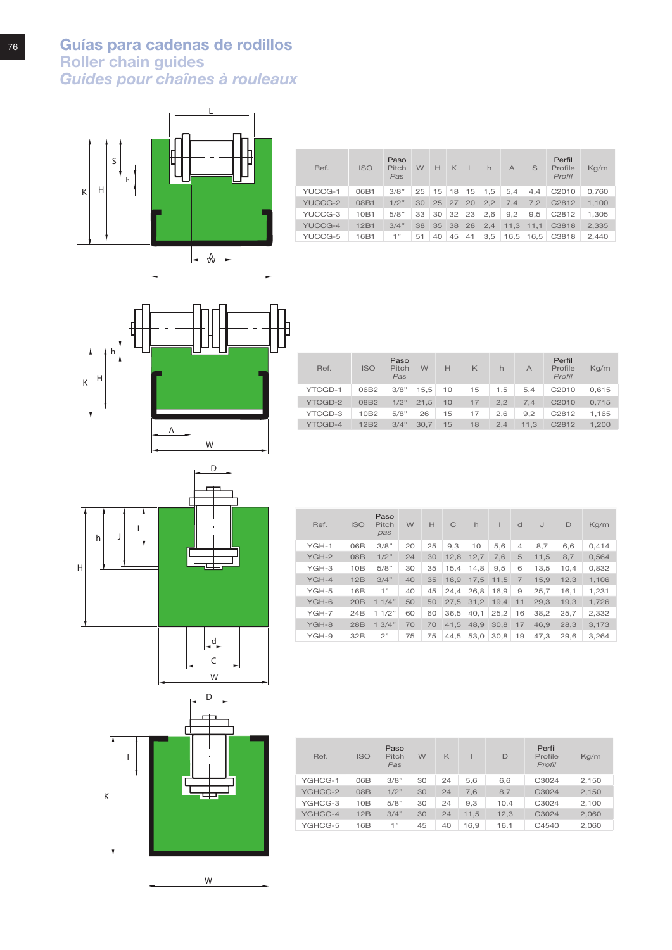**Guías para cadenas de rodillos Roller chain guides**  *Guides pour chaînes à rouleaux*



| Ref.    | <b>ISO</b> | Paso<br>Pitch<br>Pas | W  | H  | $\ltimes$            |    | $\mathsf{h}$ | $\overline{A}$ | S    | Perfil<br>Profile<br>Profil | Kg/m  |
|---------|------------|----------------------|----|----|----------------------|----|--------------|----------------|------|-----------------------------|-------|
| YUCCG-1 | 06B1       | 3/8"                 | 25 |    | $15$ 18 15           |    | 1,5          | 5,4            | 4,4  | C2010                       | 0,760 |
| YUCCG-2 | 08B1       | 1/2"                 | 30 |    | 25 27 20             |    | 2,2          | 7.4            | 7.2  | C2812                       | 1,100 |
| YUCCG-3 | 10B1       | 5/8"                 | 33 |    | $30 \mid 32 \mid 23$ |    | 2,6          | 9,2            | 9.5  | C2812                       | 1,305 |
| YUCCG-4 | 12B1       | 3/4"                 | 38 |    | 35 38 28             |    | 2,4          | 11,3           | 11,1 | C3818                       | 2,335 |
| YUCCG-5 | 16B1       | 1"                   | 51 | 40 | 45                   | 41 | 3,5          | 16,5           | 16,5 | C3818                       | 2,440 |



|                                                                                 | Perfil<br>Profile<br>Kq/m<br>Profil |
|---------------------------------------------------------------------------------|-------------------------------------|
| YTCGD-1<br>3/8"<br>06B2<br>15,5<br>15<br>5.4<br>C2010<br>10<br>1.5              | 0,615                               |
| 1/2"<br>08B2<br>21.5<br>17<br>7.4<br><b>YTCGD-2</b><br>10<br>2.2<br>C2010       | 0.715                               |
| YTCGD-3<br>5/8"<br>10B <sub>2</sub><br>9.2<br>C2812<br>26<br>15<br>17<br>2.6    | 1,165                               |
| 3/4"<br>YTCGD-4<br>12B <sub>2</sub><br>15<br>18<br>C2812<br>2.4<br>11.3<br>30.7 | 1.200                               |





| Ref.    | <b>ISO</b>      | Paso<br>Pitch<br>pas | W  | Н  | C    | $\mathsf{h}$ |      | d              | IJ   | D    | Kg/m  |
|---------|-----------------|----------------------|----|----|------|--------------|------|----------------|------|------|-------|
| YGH-1   | 06B             | 3/8"                 | 20 | 25 | 9.3  | 10           | 5,6  | 4              | 8,7  | 6,6  | 0,414 |
| YGH-2   | 08 <sub>B</sub> | 1/2"                 | 24 | 30 | 12.8 | 12.7         | 7.6  | 5              | 11.5 | 8,7  | 0.564 |
| YGH-3   | 10B             | 5/8"                 | 30 | 35 | 15.4 | 14,8         | 9,5  | 6              | 13.5 | 10,4 | 0,832 |
| $YGH-4$ | 12B             | 3/4"                 | 40 | 35 | 16.9 | 17.5         | 11.5 | $\overline{7}$ | 15,9 | 12.3 | 1.106 |
| YGH-5   | 16B             | 1"                   | 40 | 45 | 24.4 | 26,8         | 16,9 | 9              | 25,7 | 16,1 | 1,231 |
| YGH-6   | 20B             | 11/4"                | 50 | 50 | 27.5 | 31.2         | 19.4 | 11             | 29.3 | 19.3 | 1.726 |
| $YGH-7$ | 24B             | 11/2"                | 60 | 60 | 36.5 | 40.1         | 25,2 | 16             | 38.2 | 25,7 | 2,332 |
| YGH-8   | 28B             | 1.3/4"               | 70 | 70 | 41.5 | 48.9         | 30.8 | 17             | 46.9 | 28.3 | 3,173 |
| YGH-9   | 32B             | 2"                   | 75 | 75 | 44.5 | 53.0         | 30.8 | 19             | 47.3 | 29.6 | 3.264 |

| Ref.    | <b>ISO</b> | Paso<br>Pitch<br>Pas | W  | $\mathsf{K}$ |      | D    | Perfil<br>Profile<br>Profil | Kq/m  |
|---------|------------|----------------------|----|--------------|------|------|-----------------------------|-------|
| YGHCG-1 | 06B        | 3/8"                 | 30 | 24           | 5,6  | 6,6  | C3024                       | 2,150 |
| YGHCG-2 | 08B        | 1/2"                 | 30 | 24           | 7.6  | 8.7  | C3024                       | 2,150 |
| YGHCG-3 | 10B        | 5/8"                 | 30 | 24           | 9.3  | 10.4 | C3024                       | 2,100 |
| YGHCG-4 | 12B        | 3/4"                 | 30 | 24           | 11.5 | 12.3 | C3024                       | 2,060 |
| YGHCG-5 | 16B        | 1"                   | 45 | 40           | 16.9 | 16.1 | C4540                       | 2.060 |